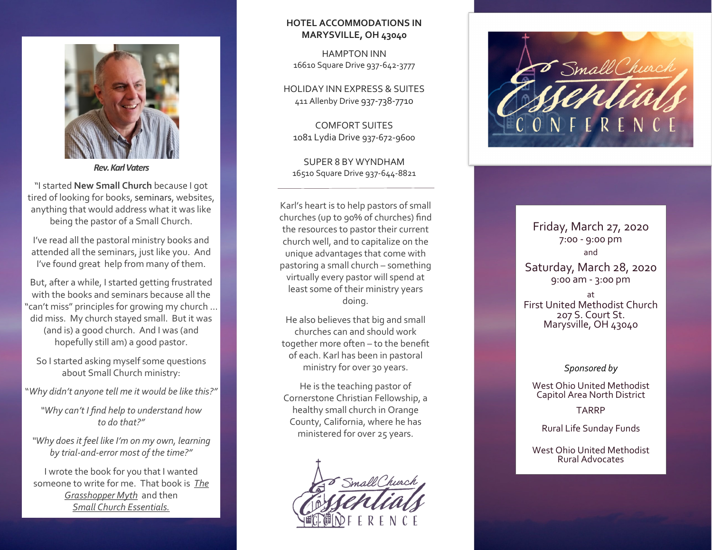

"I started **New Small Church** because I got tired of looking for books, seminars, websites, anything that would address what it was like being the pastor of a Small Church.

I've read all the pastoral ministry books and attended all the seminars, just like you. And I've found great help from many of them.

But, after a while, I started getting frustrated with the books and seminars because all the "can't miss" principles for growing my church … did miss. My church stayed small. But it was (and is) a good church. And I was (and hopefully still am) a good pastor.

So I started asking myself some questions about Small Church ministry:

"*Why didn't anyone tell me it would be like this?"* 

*"Why can't I find help to understand how to do that?"* 

*"Why does it feel like I'm on my own, learning by trial-and-error most of the time?"*

I wrote the book for you that I wanted someone to write for me. That book is *[The](http://newsmallchurch.com/the-book/)  [Grasshopper Myth](http://newsmallchurch.com/the-book/)* and then *Small Church Essentials.*

#### **HOTEL ACCOMMODATIONS IN MARYSVILLE, OH 43040**

[HAMPTON INN](https://www.guestreservations.com/hampton-inn-marysville/booking?msclkid=f3f1b87b9774102767b2e66f20db1629) 16610 Square Drive 937-642-3777

[HOLIDAY INN EXPRESS & SUITES](https://www.ihg.com/holidayinnexpress/hotels/us/en/marysville/myvoh/hoteldetail?cm_mmc=YextLocal-_-EX-_-US-_-MYVOH) 411 Allenby Drive 937-738-7710

[COMFORT SUITES](https://www.choicehotels.com/ohio/marysville/comfort-suites-hotels/oh705?pmf=yext&mc=llyxyxpx)  1081 Lydia Drive 937-672-9600

[SUPER 8 BY WYNDHAM](https://www.wyndhamhotels.com/super-8/marysville-ohio/super-8-marysville/overview) 16510 Square Drive 937-644-<sup>8821</sup> *Rev. Karl Vaters*

> Karl's heart is to help pastors of small churches (up to 90% of churches) find the resources to pastor their current church well, and to capitalize on the unique advantages that come with pastoring a small church – something virtually every pastor will spend at least some of their ministry years doing.

He also believes that big and small churches can and should work together more often – to the benefit of each. Karl has been in pastoral ministry for over 30 years.

He is the teaching pastor of Cornerstone Christian Fellowship, a healthy small church in Orange County, California, where he has ministered for over 25 years.





### Friday, March 27, 2020 7:00 - 9:00 pm and Saturday, March 28, 2020 9:00 am - 3:00 pm

at First United Methodist Church 207 S. Court St. Marysville, OH 43040

#### *Sponsored by*

West Ohio United Methodist Capitol Area North District

TARRP

Rural Life Sunday Funds

West Ohio United Methodist Rural Advocates